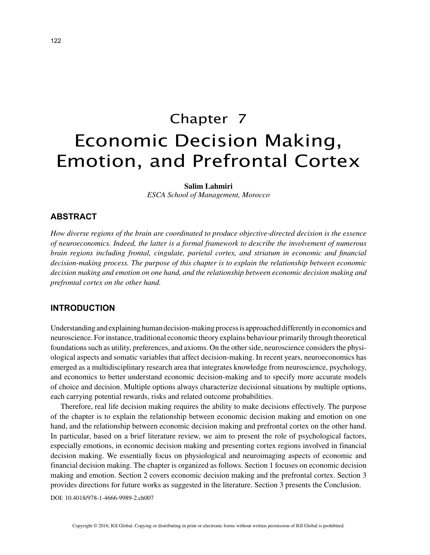# Chapter 7 Economic Decision Making, Emotion, and Prefrontal Cortex

#### **Salim Lahmiri**

*ESCA School of Management, Morocco*

# **ABSTRACT**

*How diverse regions of the brain are coordinated to produce objective-directed decision is the essence of neuroeconomics. Indeed, the latter is a formal framework to describe the involvement of numerous brain regions including frontal, cingulate, parietal cortex, and striatum in economic and financial decision-making process. The purpose of this chapter is to explain the relationship between economic decision making and emotion on one hand, and the relationship between economic decision making and prefrontal cortex on the other hand.*

# **INTRODUCTION**

Understanding and explaining human decision-making process is approached differently in economics and neuroscience. For instance, traditional economic theory explains behaviour primarily through theoretical foundations such as utility, preferences, and axioms. On the other side, neuroscience considers the physiological aspects and somatic variables that affect decision-making. In recent years, neuroeconomics has emerged as a multidisciplinary research area that integrates knowledge from neuroscience, psychology, and economics to better understand economic decision-making and to specify more accurate models of choice and decision. Multiple options always characterize decisional situations by multiple options, each carrying potential rewards, risks and related outcome probabilities.

Therefore, real life decision making requires the ability to make decisions effectively. The purpose of the chapter is to explain the relationship between economic decision making and emotion on one hand, and the relationship between economic decision making and prefrontal cortex on the other hand. In particular, based on a brief literature review, we aim to present the role of psychological factors, especially emotions, in economic decision making and presenting cortex regions involved in financial decision making. We essentially focus on physiological and neuroimaging aspects of economic and financial decision making. The chapter is organized as follows. Section 1 focuses on economic decision making and emotion. Section 2 covers economic decision making and the prefrontal cortex. Section 3 provides directions for future works as suggested in the literature. Section 3 presents the Conclusion.

DOI: 10.4018/978-1-4666-9989-2.ch007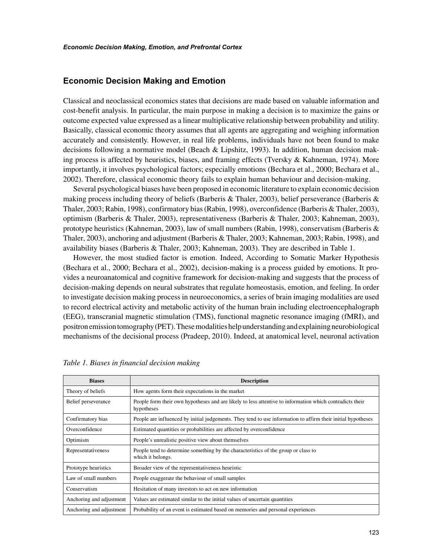## **Economic Decision Making and Emotion**

Classical and neoclassical economics states that decisions are made based on valuable information and cost-benefit analysis. In particular, the main purpose in making a decision is to maximize the gains or outcome expected value expressed as a linear multiplicative relationship between probability and utility. Basically, classical economic theory assumes that all agents are aggregating and weighing information accurately and consistently. However, in real life problems, individuals have not been found to make decisions following a normative model (Beach & Lipshitz, 1993). In addition, human decision making process is affected by heuristics, biases, and framing effects (Tversky & Kahneman, 1974). More importantly, it involves psychological factors; especially emotions (Bechara et al., 2000; Bechara et al., 2002). Therefore, classical economic theory fails to explain human behaviour and decision-making.

Several psychological biases have been proposed in economic literature to explain economic decision making process including theory of beliefs (Barberis & Thaler, 2003), belief perseverance (Barberis & Thaler, 2003; Rabin, 1998), confirmatory bias (Rabin, 1998), overconfidence (Barberis & Thaler, 2003), optimism (Barberis & Thaler, 2003), representativeness (Barberis & Thaler, 2003; Kahneman, 2003), prototype heuristics (Kahneman, 2003), law of small numbers (Rabin, 1998), conservatism (Barberis & Thaler, 2003), anchoring and adjustment (Barberis & Thaler, 2003; Kahneman, 2003; Rabin, 1998), and availability biases (Barberis & Thaler, 2003; Kahneman, 2003). They are described in Table 1.

However, the most studied factor is emotion. Indeed, According to Somatic Marker Hypothesis (Bechara et al., 2000; Bechara et al., 2002), decision-making is a process guided by emotions. It provides a neuroanatomical and cognitive framework for decision-making and suggests that the process of decision-making depends on neural substrates that regulate homeostasis, emotion, and feeling. In order to investigate decision making process in neuroeconomics, a series of brain imaging modalities are used to record electrical activity and metabolic activity of the human brain including electroencephalograph (EEG), transcranial magnetic stimulation (TMS), functional magnetic resonance imaging (fMRI), and positron emission tomography (PET). These modalities help understanding and explaining neurobiological mechanisms of the decisional process (Pradeep, 2010). Indeed, at anatomical level, neuronal activation

| <b>Biases</b>            | <b>Description</b>                                                                                                     |
|--------------------------|------------------------------------------------------------------------------------------------------------------------|
| Theory of beliefs        | How agents form their expectations in the market                                                                       |
| Belief perseverance      | People form their own hypotheses and are likely to less attentive to information which contradicts their<br>hypotheses |
| Confirmatory bias        | People are influenced by initial judgements. They tend to use information to affirm their initial hypotheses           |
| Overconfidence           | Estimated quantities or probabilities are affected by overconfidence                                                   |
| Optimism                 | People's unrealistic positive view about themselves                                                                    |
| Representativeness       | People tend to determine something by the characteristics of the group or class to<br>which it belongs.                |
| Prototype heuristics     | Broader view of the representativeness heuristic                                                                       |
| Law of small numbers     | People exaggerate the behaviour of small samples                                                                       |
| Conservatism             | Hesitation of many investors to act on new information                                                                 |
| Anchoring and adjustment | Values are estimated similar to the initial values of uncertain quantities                                             |
| Anchoring and adjustment | Probability of an event is estimated based on memories and personal experiences                                        |

*Table 1. Biases in financial decision making*